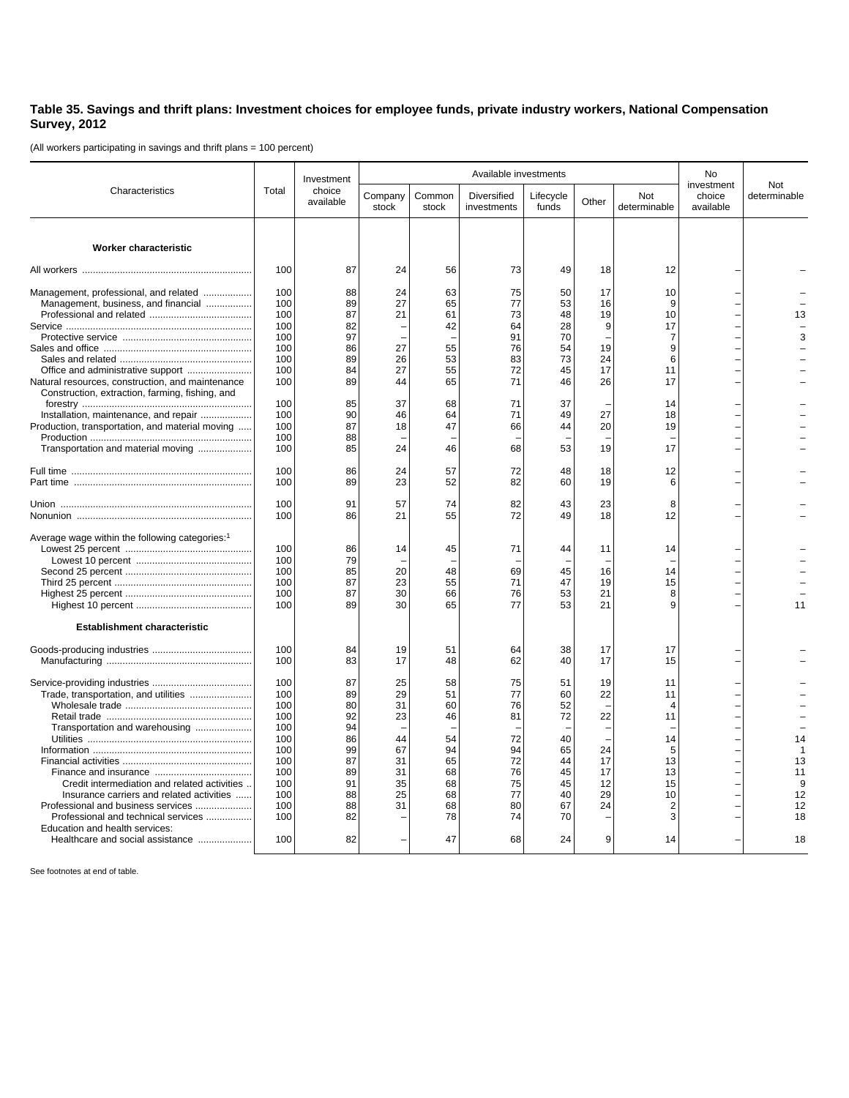## **Table 35. Savings and thrift plans: Investment choices for employee funds, private industry workers, National Compensation Survey, 2012**

(All workers participating in savings and thrift plans = 100 percent)

|                                                                                                     | Total      | Investment<br>choice<br>available | Available investments |                 |                            |                    |          |                     | No                                |                     |
|-----------------------------------------------------------------------------------------------------|------------|-----------------------------------|-----------------------|-----------------|----------------------------|--------------------|----------|---------------------|-----------------------------------|---------------------|
| Characteristics                                                                                     |            |                                   | Company<br>stock      | Common<br>stock | Diversified<br>investments | Lifecycle<br>funds | Other    | Not<br>determinable | investment<br>choice<br>available | Not<br>determinable |
|                                                                                                     |            |                                   |                       |                 |                            |                    |          |                     |                                   |                     |
| Worker characteristic                                                                               |            |                                   |                       |                 |                            |                    |          |                     |                                   |                     |
|                                                                                                     | 100        | 87                                | 24                    | 56              | 73                         | 49                 | 18       | 12                  |                                   |                     |
| Management, professional, and related                                                               | 100        | 88                                | 24                    | 63              | 75                         | 50                 | 17       | 10                  |                                   |                     |
| Management, business, and financial                                                                 | 100        | 89                                | 27                    | 65              | 77                         | 53                 | 16       | 9                   |                                   |                     |
|                                                                                                     | 100        | 87                                | 21                    | 61              | 73                         | 48                 | 19       | 10                  |                                   | 13                  |
|                                                                                                     | 100        | 82                                |                       | 42              | 64                         | 28                 | 9        | 17                  |                                   |                     |
|                                                                                                     | 100        | 97                                |                       |                 | 91                         | 70                 |          | $\overline{7}$      |                                   | 3                   |
|                                                                                                     | 100        | 86                                | 27                    | 55              | 76                         | 54                 | 19       | 9                   |                                   |                     |
|                                                                                                     | 100        | 89                                | 26                    | 53              | 83                         | 73                 | 24       | 6                   |                                   |                     |
|                                                                                                     | 100        | 84                                | 27                    | 55              | 72                         | 45                 | 17       | 11                  |                                   |                     |
| Natural resources, construction, and maintenance<br>Construction, extraction, farming, fishing, and | 100        | 89                                | 44                    | 65              | 71                         | 46                 | 26       | 17                  |                                   |                     |
|                                                                                                     | 100        | 85                                | 37                    | 68              | 71                         | 37                 |          | 14                  |                                   |                     |
| Installation, maintenance, and repair                                                               | 100        | 90                                | 46                    | 64              | 71                         | 49                 | 27       | 18                  |                                   |                     |
| Production, transportation, and material moving                                                     | 100        | 87                                | 18                    | 47              | 66                         | 44                 | 20       | 19                  |                                   |                     |
| Transportation and material moving                                                                  | 100<br>100 | 88<br>85                          | 24                    | 46              | 68                         | 53                 | 19       | 17                  |                                   |                     |
|                                                                                                     |            |                                   |                       |                 |                            |                    |          |                     |                                   |                     |
|                                                                                                     | 100<br>100 | 86<br>89                          | 24<br>23              | 57<br>52        | 72<br>82                   | 48<br>60           | 18<br>19 | 12<br>6             |                                   |                     |
|                                                                                                     |            |                                   |                       |                 |                            |                    |          |                     |                                   |                     |
|                                                                                                     | 100        | 91                                | 57                    | 74              | 82                         | 43                 | 23       | 8                   |                                   |                     |
|                                                                                                     | 100        | 86                                | 21                    | 55              | 72                         | 49                 | 18       | 12                  |                                   |                     |
| Average wage within the following categories:1                                                      |            |                                   |                       |                 |                            |                    |          |                     |                                   |                     |
|                                                                                                     | 100        | 86                                | 14                    | 45              | 71                         | 44                 | 11       | 14                  |                                   |                     |
|                                                                                                     | 100        | 79                                |                       |                 |                            |                    |          |                     |                                   |                     |
|                                                                                                     | 100        | 85                                | 20                    | 48              | 69                         | 45                 | 16       | 14                  |                                   |                     |
|                                                                                                     | 100        | 87                                | 23                    | 55              | 71                         | 47                 | 19       | 15                  |                                   |                     |
|                                                                                                     | 100        | 87                                | 30                    | 66              | 76                         | 53                 | 21       | 8                   |                                   |                     |
|                                                                                                     | 100        | 89                                | 30                    | 65              | 77                         | 53                 | 21       |                     |                                   | 11                  |
| <b>Establishment characteristic</b>                                                                 |            |                                   |                       |                 |                            |                    |          |                     |                                   |                     |
|                                                                                                     | 100        | 84                                | 19                    | 51              | 64                         | 38                 | 17       | 17                  |                                   |                     |
|                                                                                                     | 100        | 83                                | 17                    | 48              | 62                         | 40                 | 17       | 15                  |                                   |                     |
|                                                                                                     | 100        | 87                                | 25                    |                 | 75                         |                    | 19       |                     |                                   |                     |
|                                                                                                     | 100        | 89                                | 29                    | 58<br>51        | 77                         | 51                 | 22       | 11                  |                                   |                     |
|                                                                                                     | 100        | 80                                | 31                    | 60              | 76                         | 60<br>52           |          | 11<br>$\Delta$      |                                   |                     |
|                                                                                                     | 100        | 92                                | 23                    | 46              | 81                         | 72                 | 22       | 11                  |                                   |                     |
| Transportation and warehousing                                                                      | 100        | 94                                |                       |                 |                            |                    |          |                     |                                   |                     |
|                                                                                                     | 100        | 86                                | 44                    | 54              | 72                         | 40                 |          | 14                  |                                   | 14                  |
|                                                                                                     | 100        | 99                                | 67                    | 94              | 94                         | 65                 | 24       | 5                   |                                   |                     |
|                                                                                                     | 100        | 87                                | 31                    | 65              | 72                         | 44                 | 17       | 13                  |                                   | 13                  |
|                                                                                                     | 100        | 89                                | 31                    | 68              | 76                         | 45                 | 17       | 13                  |                                   | 11                  |
| Credit intermediation and related activities                                                        | 100        | 91                                | 35                    | 68              | 75                         | 45                 | 12       | 15                  |                                   | 9                   |
| Insurance carriers and related activities                                                           | 100        | 88                                | 25                    | 68              | 77                         | 40                 | 29       | 10                  |                                   | 12                  |
| Professional and business services                                                                  | 100        | 88                                | 31                    | 68              | 80                         | 67                 | 24       | 2                   |                                   | 12                  |
| Professional and technical services                                                                 | 100        | 82                                |                       | 78              | 74                         | 70                 |          | 3                   |                                   | 18                  |
| Education and health services:                                                                      |            |                                   |                       |                 |                            |                    |          |                     |                                   |                     |
| Healthcare and social assistance                                                                    | 100        | 82                                |                       | 47              | 68                         | 24                 | 9        | 14                  |                                   | 18                  |

See footnotes at end of table.